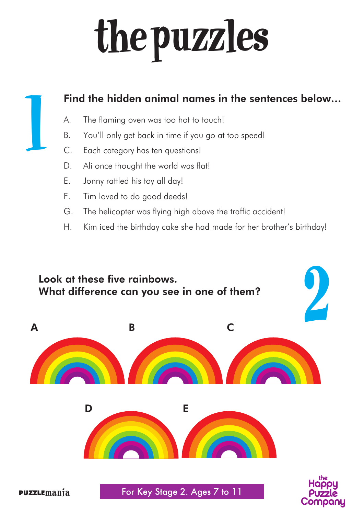# the puzzles

# $\mathbf{l}$

#### Find the hidden animal names in the sentences below…

- A. The flaming oven was too hot to touch!
- B. You'll only get back in time if you go at top speed!
- C. Each category has ten questions!
- D. Ali once thought the world was flat!
- E. Jonny rattled his toy all day!
- F. Tim loved to do good deeds!
- G. The helicopter was flying high above the traffic accident!
- H. Kim iced the birthday cake she had made for her brother's birthday!

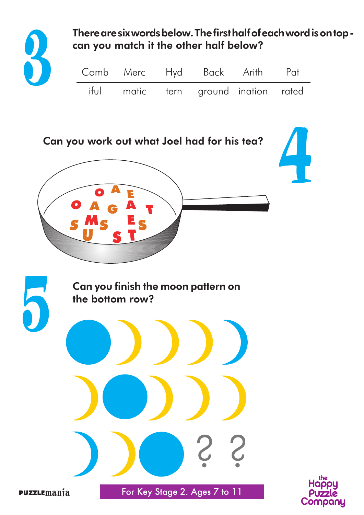

There are six words below. The first half of each word is on top can you match it the other half below?

|  | Comb Merc Hyd Back Arith Pat         |  |
|--|--------------------------------------|--|
|  | iful matic tern ground ination rated |  |





puzzlemania For Key Stage 2. Ages 7 to 11 For Key Stage 2.

? ?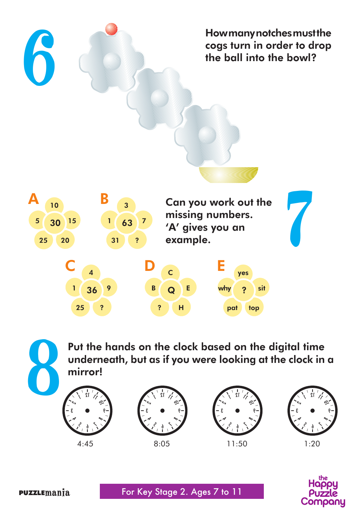How many notches must the cogs turn in order to drop the ball into the bowl?



Put the hands on the clock based on the digital time underneath, but as if you were looking at the clock in a mirror!













6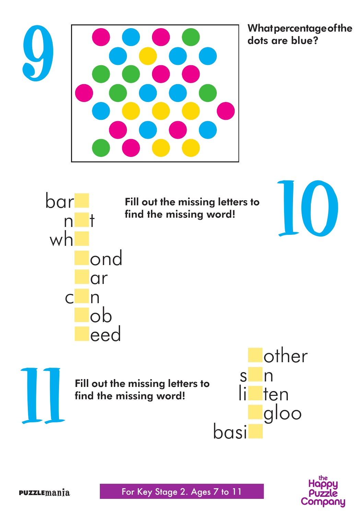

What percentage of the<br>dots are blue?



Fill out the missing letters to find the missing word!



Fill out the missing letters to find the missing word!





11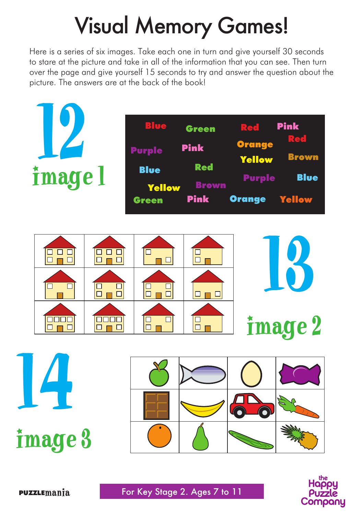## Visual Memory Games!

Here is a series of six images. Take each one in turn and give yourself 30 seconds to stare at the picture and take in all of the information that you can see. Then turn over the page and give yourself 15 seconds to try and answer the question about the picture. The answers are at the back of the book!



14 image 3



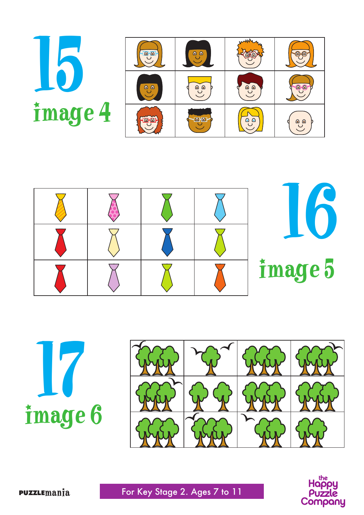







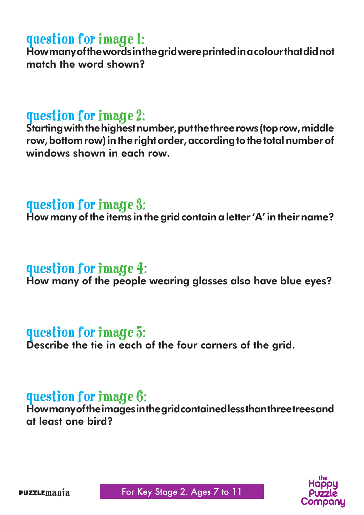#### question for image 1:

How many of the words in the grid were printed in a colour that did not match the word shown?

#### question for image 2:

Starting with the highest number, put the three rows (top row, middle row, bottom row) in the right order, according to the total number of windows shown in each row.

#### question for image 3:

How many of the items in the grid contain a letter 'A' in their name?

#### question for image 4:

How many of the people wearing glasses also have blue eyes?

#### question for image 5:

Describe the tie in each of the four corners of the grid.

#### question for image 6:

How many of the images in the grid contained less than three trees and at least one bird?

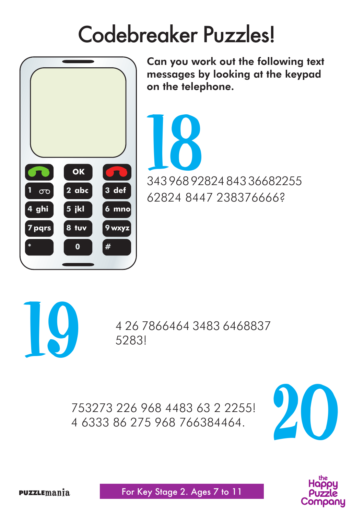### Codebreaker Puzzles!



Can you work out the following text messages by looking at the keypad on the telephone.

343 968 92824 843 36682255 1862824 8447 238376666?



4 26 7866464 3483 6468837 5283!

753273 226 968 4483 63 2 2255! 4 6333 86 275 968 766384464.



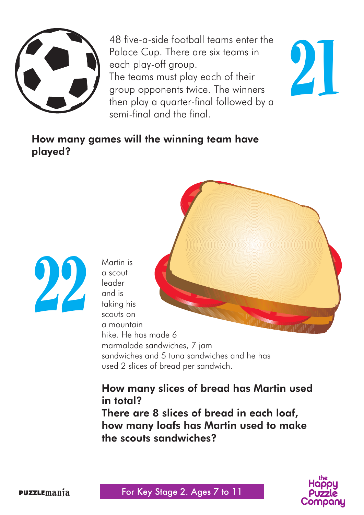

48 five-a-side football teams enter the Palace Cup. There are six teams in each play-off group. The teams must play each of their group opponents twice. The winners then play a quarter-final followed by a semi-final and the final.

21

#### How many games will the winning team have played?



Martin is a scout leader and is taking his scouts on a mountain hike. He has made 6 marmalade sandwiches, 7 jam sandwiches and 5 tuna sandwiches and he has used 2 slices of bread per sandwich.

#### How many slices of bread has Martin used in total?

There are 8 slices of bread in each loaf, how many loafs has Martin used to make the scouts sandwiches?

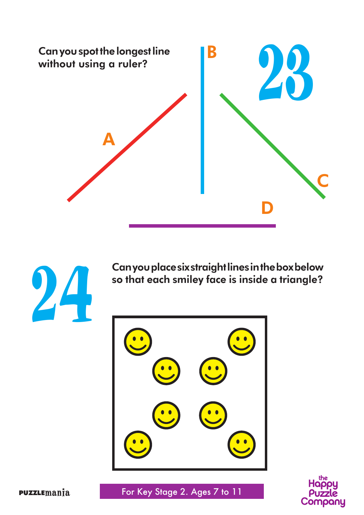



Can you place six straight lines in the box below so that each smiley face is inside a triangle?



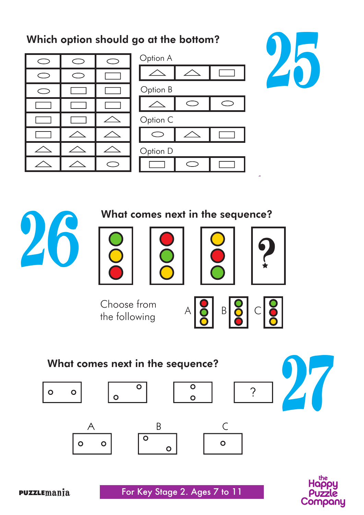#### Which option should go at the bottom?











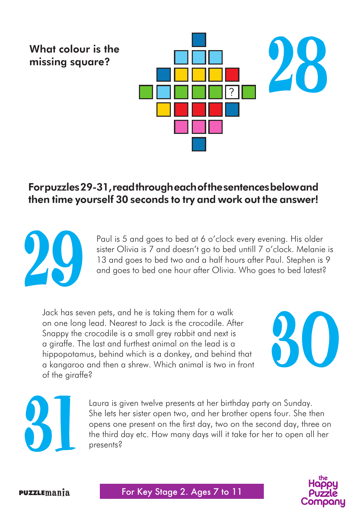## 28 ? What colour is the missing square?

#### For puzzles 29-31, read through each of the sentences below and then time yourself 30 seconds to try and work out the answer!



Paul is 5 and goes to bed at 6 o'clock every evening. His older sister Olivia is 7 and doesn't go to bed untill 7 o'clock. Melanie is 13 and goes to bed two and a half hours after Paul. Stephen is 9 and goes to bed one hour after Olivia. Who goes to bed latest?

Jack has seven pets, and he is taking them for a walk on one long lead. Nearest to Jack is the crocodile. After Snappy the crocodile is a small grey rabbit and next is a giraffe. The last and furthest animal on the lead is a hippopotamus, behind which is a donkey, and behind that a kangaroo and then a shrew. Which animal is two in front of the giraffe?





Laura is given twelve presents at her birthday party on Sunday. She lets her sister open two, and her brother opens four. She then opens one present on the first day, two on the second day, three on the third day etc. How many days will it take for her to open all her presents?

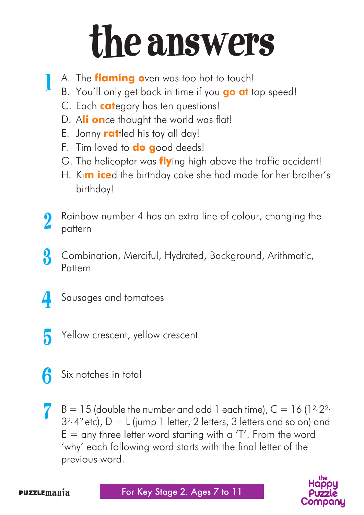## the answers

- A. The **flaming o**ven was too hot to touch! 1
	- B. You'll only get back in time if you **go at** top speed!
	- C. Each **cat**egory has ten questions!
	- D. A**li on**ce thought the world was flat!
	- E. Jonny **rat**tled his toy all day!
	- F. Tim loved to **do g**ood deeds!
	- G. The helicopter was **fly**ing high above the traffic accident!
	- H. Ki**m ice**d the birthday cake she had made for her brother's birthday!
- Rainbow number 4 has an extra line of colour, changing the pattern 2
- Combination, Merciful, Hydrated, Background, Arithmatic, Pattern 3
- 4
	- Sausages and tomatoes
	- Yellow crescent, yellow crescent 5
	- Six notches in total 6
	- $B = 15$  (double the number and add 1 each time),  $C = 16$  (12,22,  $3^{2}$ , 4<sup>2</sup> etc), D = L (jump 1 letter, 2 letters, 3 letters and so on) and  $E =$  any three letter word starting with a 'T'. From the word 'why' each following word starts with the final letter of the previous word. 7



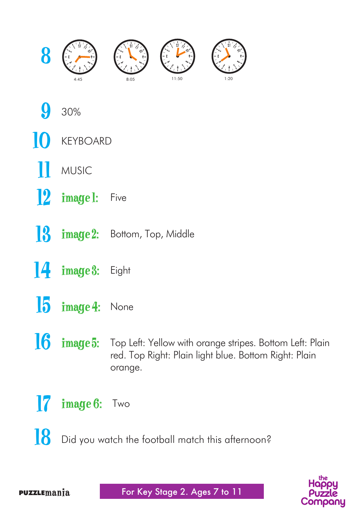

- 30% 9
- KEYBOARD 10
- MUSIC 11
- 12 **image 1:** Five
- **13** image 2: Bottom, Top, Middle
- $\begin{bmatrix} 4 & \text{image 3:} \\ \end{bmatrix}$  Eight
- $15$  image  $4$ : None
- **16 image 5:** Top Left: Yellow with orange stripes. Bottom Left: Plain red. Top Right: Plain light blue. Bottom Right: Plain orange.
- $\int$  image  $6$ : Two
- Did you watch the football match this afternoon? 18